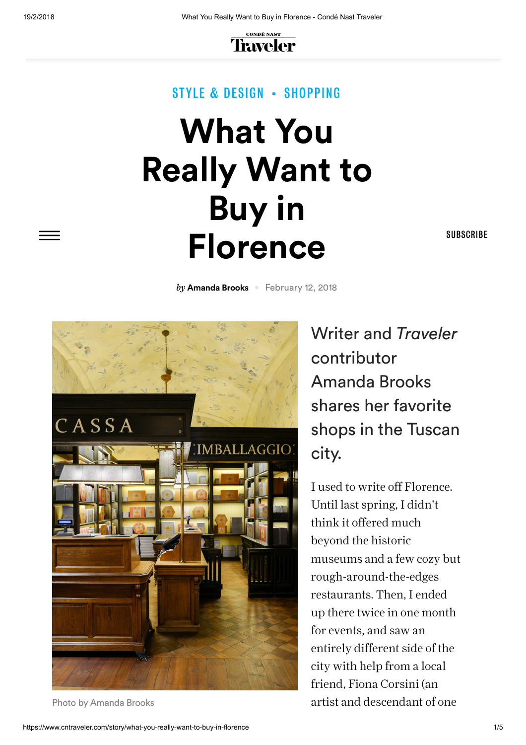19/2/2018 What You Really Want to Buy in Florence - Condé Nast Traveler



#### STYLE & [DESIGN](https://www.cntraveler.com/style-and-design) • [SHOPPING](https://www.cntraveler.com/style-and-design/shopping)

# **What You Really Want to Buy in Florence**

**[SUBSCRIBE](https://www.cntraveler.com/go/mobilefailsafe)** 

**by [Amanda](https://www.cntraveler.com/contributor/amanda-brooks) Brooks February 12, 2018** 



Writer and Traveler contributor Amanda Brooks shares her favorite shops in the Tuscan city.

I used to write off Florence. Until last spring, I didn't think it offered much beyond the historic museums and a few cozy but rough-around-the-edges restaurants. Then, I ended up there twice in one month for events, and saw an entirely different side of the city with help from a local friend, Fiona Corsini (an Photo by Amanda Brooks and Descendant of one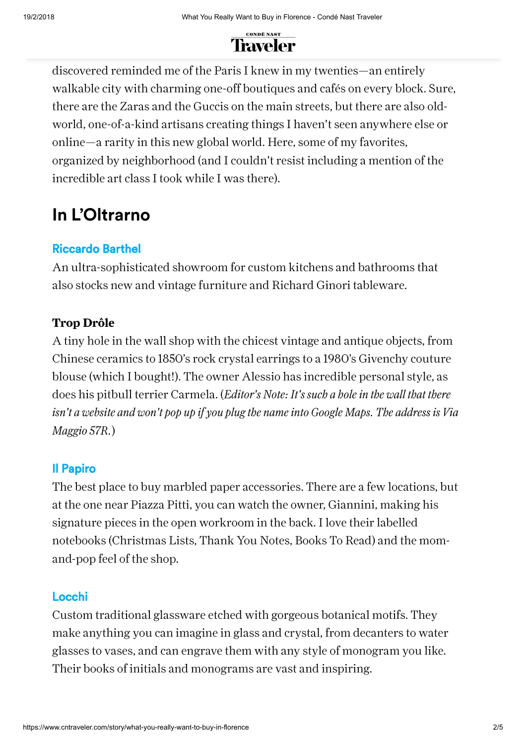

discovered reminded me of the Paris I knew in my twenties—an entirely walkable city with charming one-off boutiques and cafés on every block. Sure, there are the Zaras and the Guccis on the main streets, but there are also oldworld, one-of-a-kind artisans creating things I haven't seen anywhere else or online—a rarity in this new global world. Here, some of my favorites, organized by neighborhood (and I couldn't resist including a mention of the incredible art class I took while I was there).

### **In L'Oltrarno**

#### [Riccardo Barthel](http://www.riccardobarthel.it/en/)

An ultra-sophisticated showroom for custom kitchens and bathrooms that also stocks new and vintage furniture and Richard Ginori tableware.

#### Trop Drôle

A tiny hole in the wall shop with the chicest vintage and antique objects, from Chinese ceramics to 1850's rock crystal earrings to a 1980's Givenchy couture blouse (which I bought!). The owner Alessio has incredible personal style, as does his pitbull terrier Carmela. (*Editor's Note: It's such a holein the wall that there isn't a website and won't pop up if you plug the nameinto Google Maps. The address is Via Maggio 57R.*)

#### [Il Papiro](http://www.ilpapirofirenze.com/)

The best place to buy marbled paper accessories. There are a few locations, but at the one near Piazza Pitti, you can watch the owner, Giannini, making his signature pieces in the open workroom in the back. I love their labelled notebooks (Christmas Lists, Thank You Notes, Books To Read) and the momand-pop feel of the shop.

#### [Locchi](http://locchi.com/)

Custom traditional glassware etched with gorgeous botanical motifs. They make anything you can imagine in glass and crystal, from decanters to water glasses to vases, and can engrave them with any style of monogram you like. Their books of initials and monograms are vast and inspiring.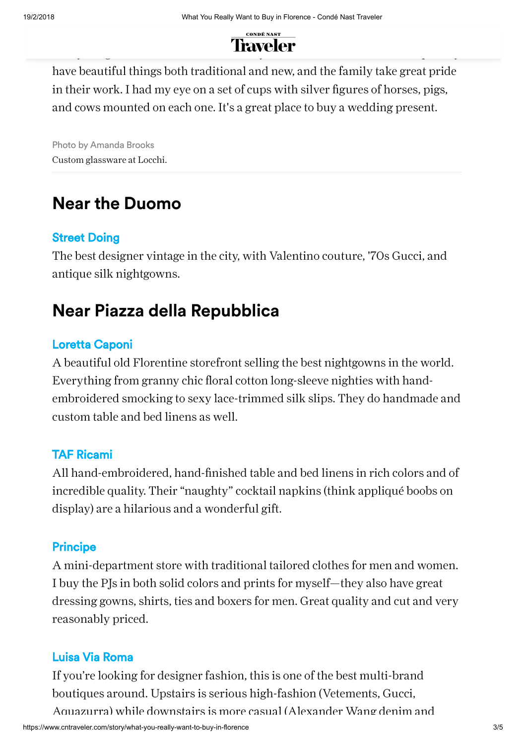

have beautiful things both traditional and new, and the family take great pride in their work. I had my eye on a set of cups with silver figures of horses, pigs, and cows mounted on each one. It's a great place to buy a wedding present.

Photo by Amanda Brooks Custom glassware at Locchi.

### **Near the Duomo**

#### [Street Doing](http://www.streetdoingvintage.it/)

The best designer vintage in the city, with Valentino couture, '70s Gucci, and antique silk nightgowns.

### **Near Piazza della Repubblica**

#### [Loretta Caponi](https://www.cntraveler.com/destinations/florence/list/featuredshops/shops/florence/loretta-caponi)

A beautiful old Florentine storefront selling the best nightgowns in the world. Everything from granny chic floral cotton long-sleeve nighties with handembroidered smocking to sexy lace-trimmed silk slips. They do handmade and custom table and bed linens as well.

#### [TAF Ricami](http://www.tafricami.com/index.php?lang=en)

All hand-embroidered, hand-finished table and bed linens in rich colors and of incredible quality. Their "naughty" cocktail napkins (think appliqué boobs on display) are a hilarious and a wonderful gift.

#### **[Principe](https://www.principedifirenze.com/en/)**

A mini-department store with traditional tailored clothes for men and women. I buy the PJs in both solid colors and prints for myself—they also have great dressing gowns, shirts, ties and boxers for men. Great quality and cut and very reasonably priced.

#### [Luisa Via Roma](https://www.luisaviaroma.com/en-us/)

If you're looking for designer fashion, this is one of the best multi-brand boutiques around. Upstairs is serious high-fashion (Vetements, Gucci, Aquazurra) while downstairs is more casual (Alexander Wang denim and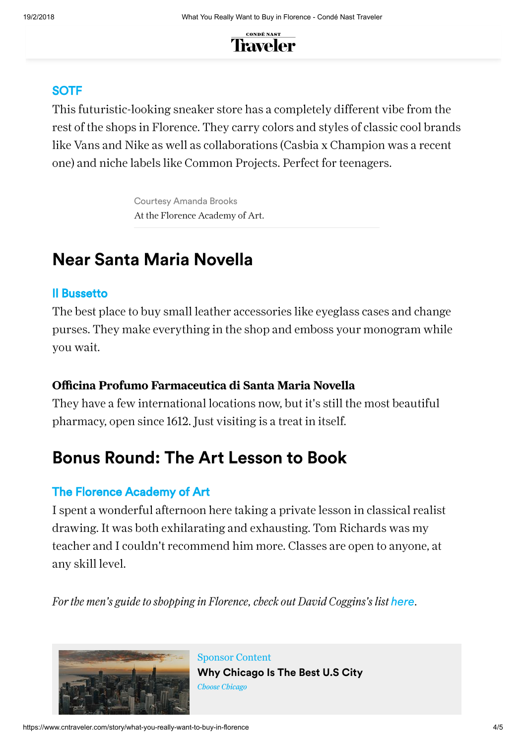

#### [SOTF](http://www.sotf.com/en/)

This futuristic-looking sneaker store has a completely different vibe from the rest of the shops in Florence. They carry colors and styles of classic cool brands like Vans and Nike as well as collaborations (Casbia x Champion was a recent one) and niche labels like Common Projects. Perfect for teenagers.

> Courtesy Amanda Brooks At the Florence Academy of Art.

### **Near Santa Maria Novella**

#### [Il Bussetto](https://ilbussetto.it/)

The best place to buy small leather accessories like eyeglass cases and change purses. They make everything in the shop and emboss your monogram while you wait.

#### Officina Profumo Farmaceutica di Santa Maria Novella

They have a few international locations now, but it's still the most beautiful pharmacy, open since 1612. Just visiting is a treat in itself.

### **Bonus Round: The Art Lesson to Book**

#### [The Florence Academy of Art](http://www.florenceacademyofart.com/)

I spent a wonderful afternoon here taking a private lesson in classical realist drawing. It was both exhilarating and exhausting. Tom Richards was my teacher and I couldn't recommend him more. Classes are open to anyone, at any skill level.

*For the men's guide to shopping in Florence, check out David Coggins's list [here](http://www.cntraveler.com/story/where-stylish-men-should-shop-in-florence).* 



[Sponsor Content](https://www.cntraveler.com/gallery/10-reasons-why-chicago-is-the-best-city-in-the-us-right-now?intcid=polar) **Why Chicago Is The Best U.S City** Choose Chicago